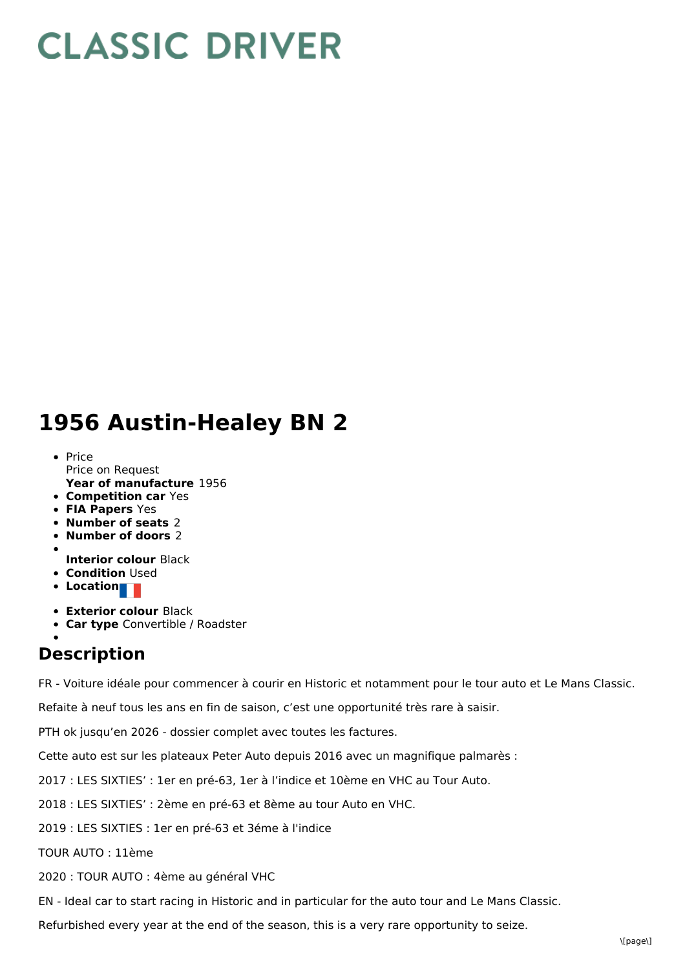## **CLASSIC DRIVER**

## **1956 Austin-Healey BN 2**

- **Year of manufacture** 1956 • Price Price on Request
- **Competition car** Yes
- **FIA Papers** Yes
- **Number of seats** 2
- **Number of doors** 2
- - **Interior colour** Black
- **Condition Used**
- **•** Location
- **Exterior colour** Black
- **Car type** Convertible / Roadster

## **Description**

FR - Voiture idéale pour commencer à courir en Historic et notamment pour le tour auto et Le Mans Classic.

Refaite à neuf tous les ans en fin de saison, c'est une opportunité très rare à saisir.

PTH ok jusqu'en 2026 - dossier complet avec toutes les factures.

Cette auto est sur les plateaux Peter Auto depuis 2016 avec un magnifique palmarès :

2017 : LES SIXTIES' : 1er en pré-63, 1er à l'indice et 10ème en VHC au Tour Auto.

2018 : LES SIXTIES' : 2ème en pré-63 et 8ème au tour Auto en VHC.

2019 : LES SIXTIES : 1er en pré-63 et 3éme à l'indice

TOUR AUTO : 11ème

2020 : TOUR AUTO : 4ème au général VHC

EN - Ideal car to start racing in Historic and in particular for the auto tour and Le Mans Classic.

Refurbished every year at the end of the season, this is a very rare opportunity to seize.